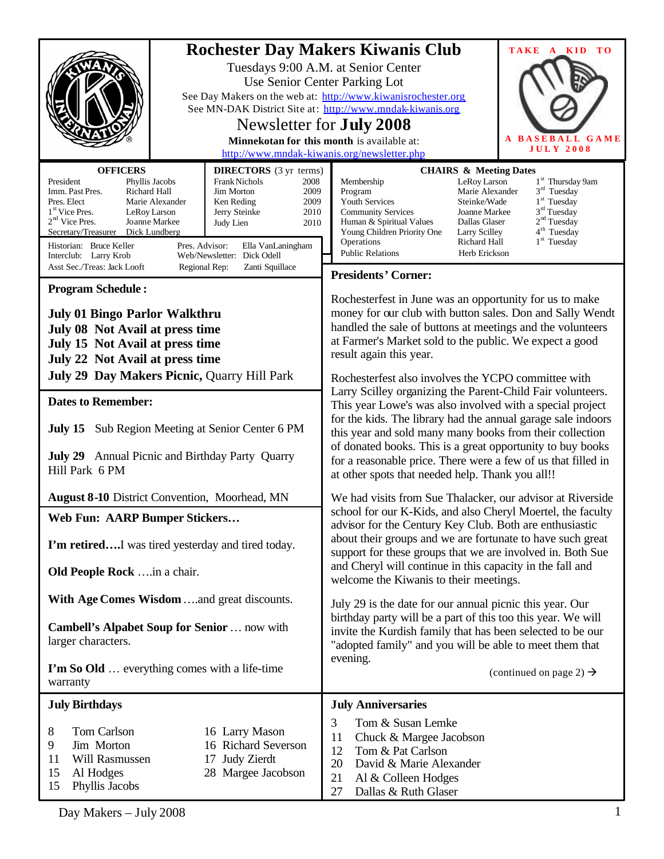|                                                                                                                                                                                                                                                                                                                                                                                                                                                                                                                                                                                                              | <b>Rochester Day Makers Kiwanis Club</b><br>TAKE A KID<br>T <sub>O</sub><br>Tuesdays 9:00 A.M. at Senior Center<br>Use Senior Center Parking Lot<br>See Day Makers on the web at: http://www.kiwanisrochester.org<br>See MN-DAK District Site at: http://www.mndak-kiwanis.org                                                                                                                                                                                                                                 |  |  |
|--------------------------------------------------------------------------------------------------------------------------------------------------------------------------------------------------------------------------------------------------------------------------------------------------------------------------------------------------------------------------------------------------------------------------------------------------------------------------------------------------------------------------------------------------------------------------------------------------------------|----------------------------------------------------------------------------------------------------------------------------------------------------------------------------------------------------------------------------------------------------------------------------------------------------------------------------------------------------------------------------------------------------------------------------------------------------------------------------------------------------------------|--|--|
|                                                                                                                                                                                                                                                                                                                                                                                                                                                                                                                                                                                                              | Newsletter for <b>July 2008</b>                                                                                                                                                                                                                                                                                                                                                                                                                                                                                |  |  |
| <b>BASEBALL GAME</b><br>A<br>Minnekotan for this month is available at:<br><b>JULY 2008</b><br>http://www.mndak-kiwanis.org/newsletter.php                                                                                                                                                                                                                                                                                                                                                                                                                                                                   |                                                                                                                                                                                                                                                                                                                                                                                                                                                                                                                |  |  |
| <b>OFFICERS</b><br><b>DIRECTORS</b> (3 yr terms)<br><b>Frank Nichols</b><br>President<br>Phyllis Jacobs<br>2008<br>Richard Hall<br>Imm. Past Pres.<br><b>Jim Morton</b><br>2009<br>Pres. Elect<br>Marie Alexander<br>Ken Reding<br>2009<br>1 <sup>st</sup> Vice Pres.<br>LeRoy Larson<br>Jerry Steinke<br>2010<br>$2nd$ Vice Pres.<br>Joanne Markee<br>Judy Lien<br>2010<br>Dick Lundberg<br>Secretary/Treasurer<br>Historian: Bruce Keller<br>Pres. Advisor:<br>Ella VanLaningham<br>Web/Newsletter: Dick Odell<br>Interclub: Larry Krob<br>Asst Sec./Treas: Jack Looft<br>Regional Rep:<br>Zanti Squillace | <b>CHAIRS &amp; Meeting Dates</b><br>1 <sup>st</sup> Thursday 9am<br>Membership<br>LeRoy Larson<br>$3rd$ Tuesday<br>Program<br>Marie Alexander<br>$1st$ Tuesday<br>Youth Services<br>Steinke/Wade<br>$3rd$ Tuesday<br><b>Community Services</b><br>Joanne Markee<br>2 <sup>nd</sup> Tuesday<br>Dallas Glaser<br>Human & Spiritual Values<br>4 <sup>th</sup> Tuesday<br>Young Children Priority One<br>Larry Scilley<br>$1st$ Tuesday<br>Operations<br>Richard Hall<br><b>Public Relations</b><br>Herb Erickson |  |  |
| <b>Program Schedule:</b>                                                                                                                                                                                                                                                                                                                                                                                                                                                                                                                                                                                     | <b>Presidents' Corner:</b>                                                                                                                                                                                                                                                                                                                                                                                                                                                                                     |  |  |
| <b>July 01 Bingo Parlor Walkthru</b><br>July 08 Not Avail at press time<br>July 15 Not Avail at press time<br>July 22 Not Avail at press time                                                                                                                                                                                                                                                                                                                                                                                                                                                                | Rochesterfest in June was an opportunity for us to make<br>money for our club with button sales. Don and Sally Wendt<br>handled the sale of buttons at meetings and the volunteers<br>at Farmer's Market sold to the public. We expect a good<br>result again this year.                                                                                                                                                                                                                                       |  |  |
| July 29 Day Makers Picnic, Quarry Hill Park                                                                                                                                                                                                                                                                                                                                                                                                                                                                                                                                                                  | Rochesterfest also involves the YCPO committee with                                                                                                                                                                                                                                                                                                                                                                                                                                                            |  |  |
| <b>Dates to Remember:</b>                                                                                                                                                                                                                                                                                                                                                                                                                                                                                                                                                                                    | Larry Scilley organizing the Parent-Child Fair volunteers.<br>This year Lowe's was also involved with a special project                                                                                                                                                                                                                                                                                                                                                                                        |  |  |
| <b>July 15</b> Sub Region Meeting at Senior Center 6 PM<br>July 29 Annual Picnic and Birthday Party Quarry                                                                                                                                                                                                                                                                                                                                                                                                                                                                                                   | for the kids. The library had the annual garage sale indoors<br>this year and sold many many books from their collection<br>of donated books. This is a great opportunity to buy books                                                                                                                                                                                                                                                                                                                         |  |  |
| Hill Park 6 PM                                                                                                                                                                                                                                                                                                                                                                                                                                                                                                                                                                                               | for a reasonable price. There were a few of us that filled in<br>at other spots that needed help. Thank you all!!                                                                                                                                                                                                                                                                                                                                                                                              |  |  |
| <b>August 8-10 District Convention, Moorhead, MN</b>                                                                                                                                                                                                                                                                                                                                                                                                                                                                                                                                                         | We had visits from Sue Thalacker, our advisor at Riverside                                                                                                                                                                                                                                                                                                                                                                                                                                                     |  |  |
| Web Fun: AARP Bumper Stickers                                                                                                                                                                                                                                                                                                                                                                                                                                                                                                                                                                                | school for our K-Kids, and also Cheryl Moertel, the faculty<br>advisor for the Century Key Club. Both are enthusiastic                                                                                                                                                                                                                                                                                                                                                                                         |  |  |
| I'm retiredI was tired yesterday and tired today.                                                                                                                                                                                                                                                                                                                                                                                                                                                                                                                                                            | about their groups and we are fortunate to have such great<br>support for these groups that we are involved in. Both Sue                                                                                                                                                                                                                                                                                                                                                                                       |  |  |
| <b>Old People Rock</b> in a chair.                                                                                                                                                                                                                                                                                                                                                                                                                                                                                                                                                                           | and Cheryl will continue in this capacity in the fall and<br>welcome the Kiwanis to their meetings.                                                                                                                                                                                                                                                                                                                                                                                                            |  |  |
| With Age Comes Wisdom and great discounts.                                                                                                                                                                                                                                                                                                                                                                                                                                                                                                                                                                   | July 29 is the date for our annual picnic this year. Our                                                                                                                                                                                                                                                                                                                                                                                                                                                       |  |  |
| Cambell's Alpabet Soup for Senior  now with<br>larger characters.                                                                                                                                                                                                                                                                                                                                                                                                                                                                                                                                            | birthday party will be a part of this too this year. We will<br>invite the Kurdish family that has been selected to be our<br>"adopted family" and you will be able to meet them that                                                                                                                                                                                                                                                                                                                          |  |  |
| I'm So Old  everything comes with a life-time<br>warranty                                                                                                                                                                                                                                                                                                                                                                                                                                                                                                                                                    | evening.<br>(continued on page 2) $\rightarrow$                                                                                                                                                                                                                                                                                                                                                                                                                                                                |  |  |
| <b>July Birthdays</b>                                                                                                                                                                                                                                                                                                                                                                                                                                                                                                                                                                                        | <b>July Anniversaries</b>                                                                                                                                                                                                                                                                                                                                                                                                                                                                                      |  |  |
| Tom Carlson<br>16 Larry Mason<br>8<br>Jim Morton<br>16 Richard Severson<br>9<br>17 Judy Zierdt<br>11<br>Will Rasmussen<br>15<br>Al Hodges<br>28 Margee Jacobson<br>15<br>Phyllis Jacobs                                                                                                                                                                                                                                                                                                                                                                                                                      | 3<br>Tom & Susan Lemke<br>11<br>Chuck & Margee Jacobson<br>12<br>Tom & Pat Carlson<br>20<br>David & Marie Alexander<br>21<br>Al & Colleen Hodges<br>27<br>Dallas & Ruth Glaser                                                                                                                                                                                                                                                                                                                                 |  |  |

Day Makers – July 2008 1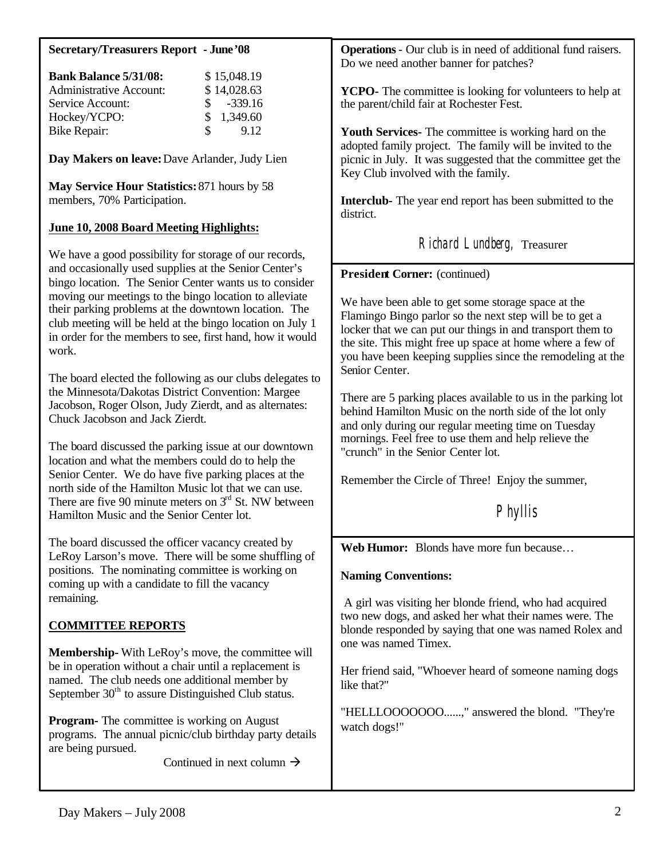### **Secretary/Treasurers Report - June'08**

| <b>Bank Balance 5/31/08:</b>   |               | \$15,048.19             |
|--------------------------------|---------------|-------------------------|
| <b>Administrative Account:</b> |               | \$14,028.63             |
| Service Account:               |               | $\frac{\$}{\$}$ -339.16 |
| Hockey/YCPO:                   |               | \$1,349.60              |
| <b>Bike Repair:</b>            | $\mathcal{S}$ | 9.12                    |

**Day Makers on leave:** Dave Arlander, Judy Lien

**May Service Hour Statistics:** 871 hours by 58 members, 70% Participation.

# **June 10, 2008 Board Meeting Highlights:**

We have a good possibility for storage of our records, and occasionally used supplies at the Senior Center's bingo location. The Senior Center wants us to consider moving our meetings to the bingo location to alleviate their parking problems at the downtown location. The club meeting will be held at the bingo location on July 1 in order for the members to see, first hand, how it would work.

The board elected the following as our clubs delegates to the Minnesota/Dakotas District Convention: Margee Jacobson, Roger Olson, Judy Zierdt, and as alternates: Chuck Jacobson and Jack Zierdt.

The board discussed the parking issue at our downtown location and what the members could do to help the Senior Center. We do have five parking places at the north side of the Hamilton Music lot that we can use. There are five 90 minute meters on  $3<sup>rd</sup>$  St. NW between Hamilton Music and the Senior Center lot.

The board discussed the officer vacancy created by LeRoy Larson's move. There will be some shuffling of positions. The nominating committee is working on coming up with a candidate to fill the vacancy remaining.

# **COMMITTEE REPORTS**

**Membership-** With LeRoy's move, the committee will be in operation without a chair until a replacement is named. The club needs one additional member by September  $30<sup>th</sup>$  to assure Distinguished Club status.

**Program-** The committee is working on August programs. The annual picnic/club birthday party details are being pursued.

Continued in next column  $\rightarrow$ 

**Operations**- Our club is in need of additional fund raisers. Do we need another banner for patches?

**YCPO-** The committee is looking for volunteers to help at the parent/child fair at Rochester Fest.

**Youth Services-** The committee is working hard on the adopted family project. The family will be invited to the picnic in July. It was suggested that the committee get the Key Club involved with the family.

**Interclub-** The year end report has been submitted to the district.

Richard Lundberg, Treasurer

**President Corner:** (continued)

We have been able to get some storage space at the Flamingo Bingo parlor so the next step will be to get a locker that we can put our things in and transport them to the site. This might free up space at home where a few of you have been keeping supplies since the remodeling at the Senior Center.

There are 5 parking places available to us in the parking lot behind Hamilton Music on the north side of the lot only and only during our regular meeting time on Tuesday mornings. Feel free to use them and help relieve the "crunch" in the Senior Center lot.

Remember the Circle of Three! Enjoy the summer,

Phyllis

**Web Humor:** Blonds have more fun because…

#### **Naming Conventions:**

 A girl was visiting her blonde friend, who had acquired two new dogs, and asked her what their names were. The blonde responded by saying that one was named Rolex and one was named Timex.

Her friend said, "Whoever heard of someone naming dogs like that?"

"HELLLOOOOOOO......," answered the blond. "They're watch dogs!"